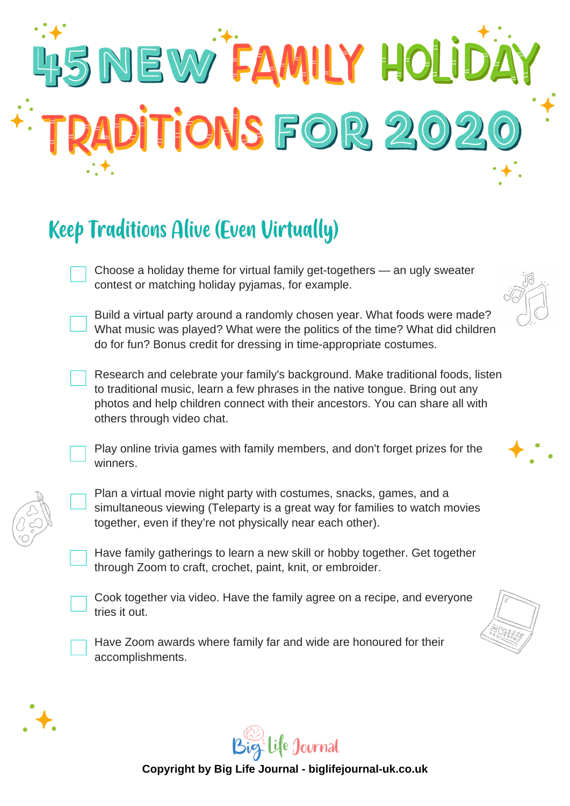# HSNEW FAMILY HOLIDA RADITIONS FOR 202

#### **Keep Traditions Alive (Even Virtually)**

Choose a holiday theme for virtual family get-togethers — an ugly sweater contest or matching holiday pyjamas, for example.

Build a virtual party around a randomly chosen year. What foods were made? What music was played? What were the politics of the time? What did children do for fun? Bonus credit for dressing in time-appropriate costumes.

Research and celebrate your family's background. Make traditional foods, listen to traditional music, learn a few phrases in the native tongue. Bring out any photos and help children connect with their ancestors. You can share all with others through video chat.

Play online trivia games with family members, and don't forget prizes for the winners.

Plan a virtual movie night party with costumes, snacks, games, and a simultaneous viewing (Teleparty is a great way for families to watch movies together, even if they're not physically near each other).

Have family gatherings to learn a new skill or hobby together. Get together through Zoom to craft, crochet, paint, knit, or embroider.



Cook together via video. Have the family agree on a recipe, and everyone tries it out.



Have Zoom awards where family far and wide are honoured for their accomplishments.









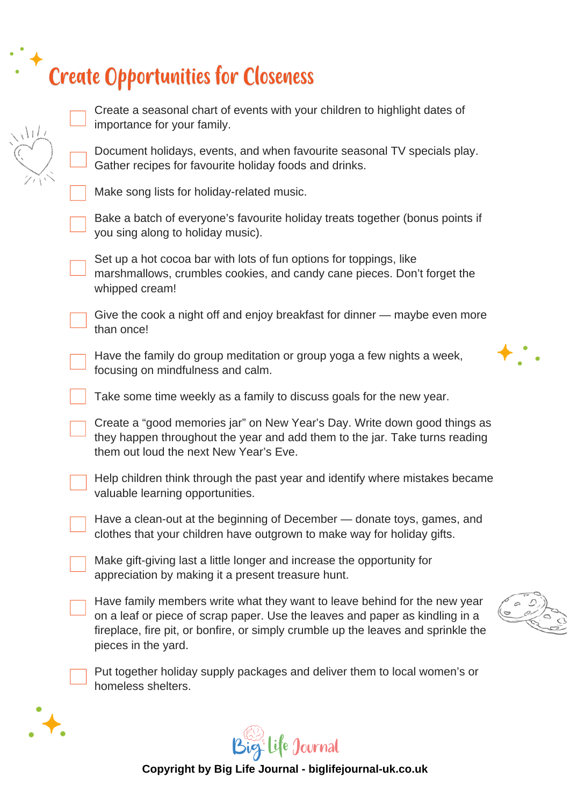# Create Opportunities for Closeness

| $\sqrt{1/\sqrt{1/\lambda}}$ | Create a seasonal chart of events with your children to highlight dates of<br>importance for your family.                                                                                                                                                             |  |
|-----------------------------|-----------------------------------------------------------------------------------------------------------------------------------------------------------------------------------------------------------------------------------------------------------------------|--|
|                             | Document holidays, events, and when favourite seasonal TV specials play.<br>Gather recipes for favourite holiday foods and drinks.                                                                                                                                    |  |
|                             | Make song lists for holiday-related music.                                                                                                                                                                                                                            |  |
|                             | Bake a batch of everyone's favourite holiday treats together (bonus points if<br>you sing along to holiday music).                                                                                                                                                    |  |
|                             | Set up a hot cocoa bar with lots of fun options for toppings, like<br>marshmallows, crumbles cookies, and candy cane pieces. Don't forget the<br>whipped cream!                                                                                                       |  |
|                             | Give the cook a night off and enjoy breakfast for dinner — maybe even more<br>than once!                                                                                                                                                                              |  |
|                             | Have the family do group meditation or group yoga a few nights a week,<br>focusing on mindfulness and calm.                                                                                                                                                           |  |
|                             | Take some time weekly as a family to discuss goals for the new year.                                                                                                                                                                                                  |  |
|                             | Create a "good memories jar" on New Year's Day. Write down good things as<br>they happen throughout the year and add them to the jar. Take turns reading<br>them out loud the next New Year's Eve.                                                                    |  |
|                             | Help children think through the past year and identify where mistakes became<br>valuable learning opportunities.                                                                                                                                                      |  |
|                             | Have a clean-out at the beginning of December - donate toys, games, and<br>clothes that your children have outgrown to make way for holiday gifts.                                                                                                                    |  |
|                             | Make gift-giving last a little longer and increase the opportunity for<br>appreciation by making it a present treasure hunt.                                                                                                                                          |  |
|                             | Have family members write what they want to leave behind for the new year<br>on a leaf or piece of scrap paper. Use the leaves and paper as kindling in a<br>fireplace, fire pit, or bonfire, or simply crumble up the leaves and sprinkle the<br>pieces in the yard. |  |
|                             | Put together holiday supply packages and deliver them to local women's or<br>homeless shelters.                                                                                                                                                                       |  |
|                             |                                                                                                                                                                                                                                                                       |  |



 $\bigstar$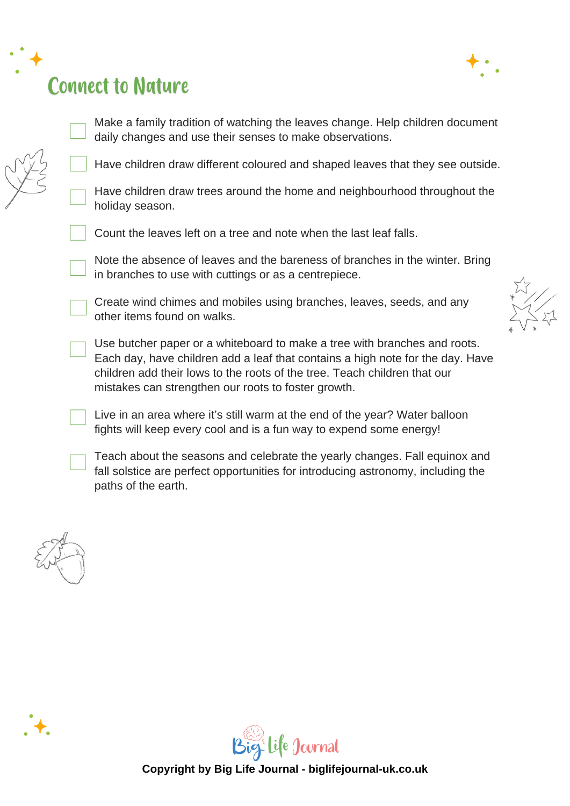# **Connect to Nature**



Make a family tradition of watching the leaves change. Help children document daily changes and use their senses to make observations.

Have children draw different coloured and shaped leaves that they see outside.

Have children draw trees around the home and neighbourhood throughout the holiday season.

Count the leaves left on a tree and note when the last leaf falls.

Note the absence of leaves and the bareness of branches in the winter. Bring in branches to use with cuttings or as a centrepiece.

Create wind chimes and mobiles using branches, leaves, seeds, and any other items found on walks.

Use butcher paper or a whiteboard to make a tree with branches and roots. Each day, have children add a leaf that contains a high note for the day. Have children add their lows to the roots of the tree. Teach children that our mistakes can strengthen our roots to foster growth.

Live in an area where it's still warm at the end of the year? Water balloon fights will keep every cool and is a fun way to expend some energy!

Teach about the seasons and celebrate the yearly changes. Fall equinox and fall solstice are perfect opportunities for introducing astronomy, including the paths of the earth.



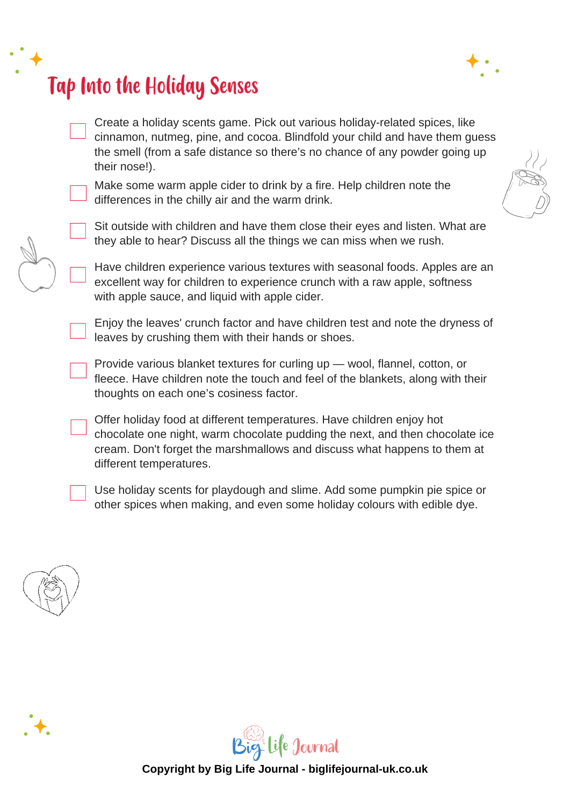## **Tap Into the Holiday Senses**



Create a holiday scents game. Pick out various holiday-related spices, like cinnamon, nutmeg, pine, and cocoa. Blindfold your child and have them guess the smell (from a safe distance so there's no chance of any powder going up their nose!).

Make some warm apple cider to drink by a fire. Help children note the differences in the chilly air and the warm drink.

Sit outside with children and have them close their eyes and listen. What are they able to hear? Discuss all the things we can miss when we rush.

Have children experience various textures with seasonal foods. Apples are an excellent way for children to experience crunch with a raw apple, softness with apple sauce, and liquid with apple cider.

Enjoy the leaves' crunch factor and have children test and note the dryness of leaves by crushing them with their hands or shoes.

Provide various blanket textures for curling up — wool, flannel, cotton, or fleece. Have children note the touch and feel of the blankets, along with their thoughts on each one's cosiness factor.

Offer holiday food at different temperatures. Have children enjoy hot chocolate one night, warm chocolate pudding the next, and then chocolate ice cream. Don't forget the marshmallows and discuss what happens to them at different temperatures.

Use holiday scents for playdough and slime. Add some pumpkin pie spice or other spices when making, and even some holiday colours with edible dye.





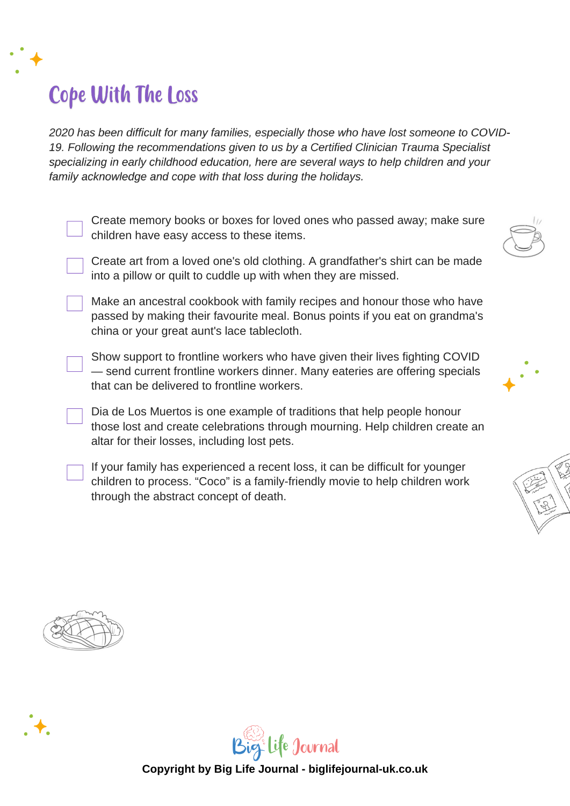## **Cope With The Loss**

2020 has been difficult for many families, especially those who have lost someone to COVID-19. Following the recommendations given to us by a Certified Clinician Trauma Specialist specializing in early childhood education, here are several ways to help children and your family acknowledge and cope with that loss during the holidays.

Create memory books or boxes for loved ones who passed away; make sure children have easy access to these items.



Make an ancestral cookbook with family recipes and honour those who have passed by making their favourite meal. Bonus points if you eat on grandma's china or your great aunt's lace tablecloth.

Show support to frontline workers who have given their lives fighting COVID — send current frontline workers dinner. Many eateries are offering specials that can be delivered to frontline workers.

Dia de Los Muertos is one example of traditions that help people honour those lost and create celebrations through mourning. Help children create an altar for their losses, including lost pets.

If your family has experienced a recent loss, it can be difficult for younger children to process. "Coco" is a family-friendly movie to help children work through the abstract concept of death.